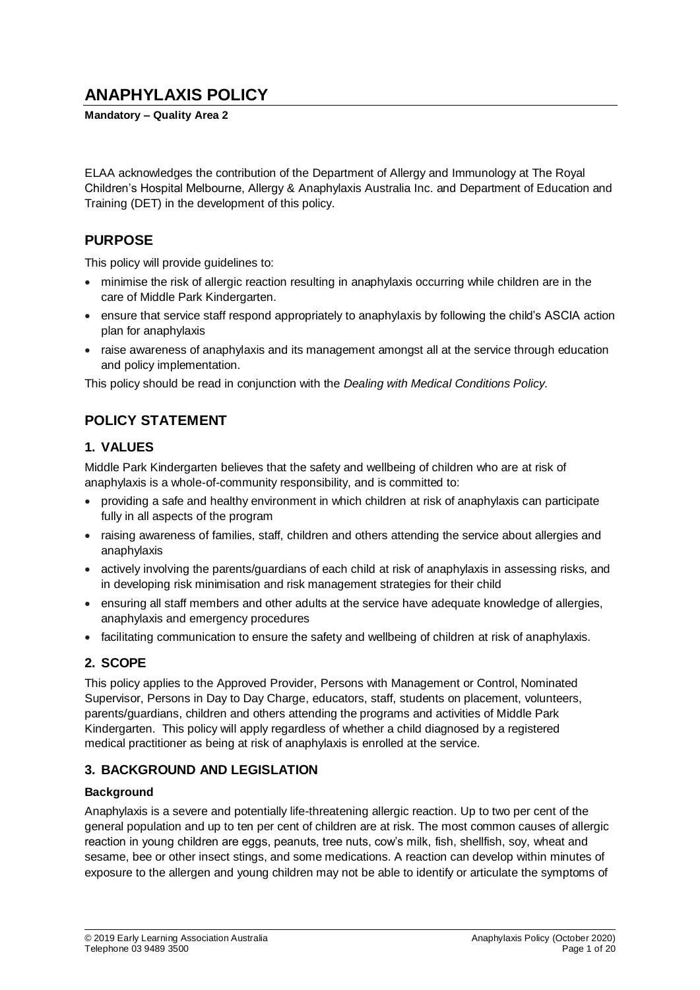# **ANAPHYLAXIS POLICY**

**Mandatory – Quality Area 2**

ELAA acknowledges the contribution of the Department of Allergy and Immunology at The Royal Children's Hospital Melbourne, Allergy & Anaphylaxis Australia Inc. and Department of Education and Training (DET) in the development of this policy.

## **PURPOSE**

This policy will provide guidelines to:

- minimise the risk of allergic reaction resulting in anaphylaxis occurring while children are in the care of Middle Park Kindergarten.
- ensure that service staff respond appropriately to anaphylaxis by following the child's ASCIA action plan for anaphylaxis
- raise awareness of anaphylaxis and its management amongst all at the service through education and policy implementation.

This policy should be read in conjunction with the *Dealing with Medical Conditions Policy.*

## **POLICY STATEMENT**

## **1. VALUES**

Middle Park Kindergarten believes that the safety and wellbeing of children who are at risk of anaphylaxis is a whole-of-community responsibility, and is committed to:

- providing a safe and healthy environment in which children at risk of anaphylaxis can participate fully in all aspects of the program
- raising awareness of families, staff, children and others attending the service about allergies and anaphylaxis
- actively involving the parents/guardians of each child at risk of anaphylaxis in assessing risks, and in developing risk minimisation and risk management strategies for their child
- ensuring all staff members and other adults at the service have adequate knowledge of allergies, anaphylaxis and emergency procedures
- facilitating communication to ensure the safety and wellbeing of children at risk of anaphylaxis.

## **2. SCOPE**

This policy applies to the Approved Provider, Persons with Management or Control, Nominated Supervisor, Persons in Day to Day Charge, educators, staff, students on placement, volunteers, parents/guardians, children and others attending the programs and activities of Middle Park Kindergarten. This policy will apply regardless of whether a child diagnosed by a registered medical practitioner as being at risk of anaphylaxis is enrolled at the service.

## **3. BACKGROUND AND LEGISLATION**

### **Background**

Anaphylaxis is a severe and potentially life-threatening allergic reaction. Up to two per cent of the general population and up to ten per cent of children are at risk. The most common causes of allergic reaction in young children are eggs, peanuts, tree nuts, cow's milk, fish, shellfish, soy, wheat and sesame, bee or other insect stings, and some medications. A reaction can develop within minutes of exposure to the allergen and young children may not be able to identify or articulate the symptoms of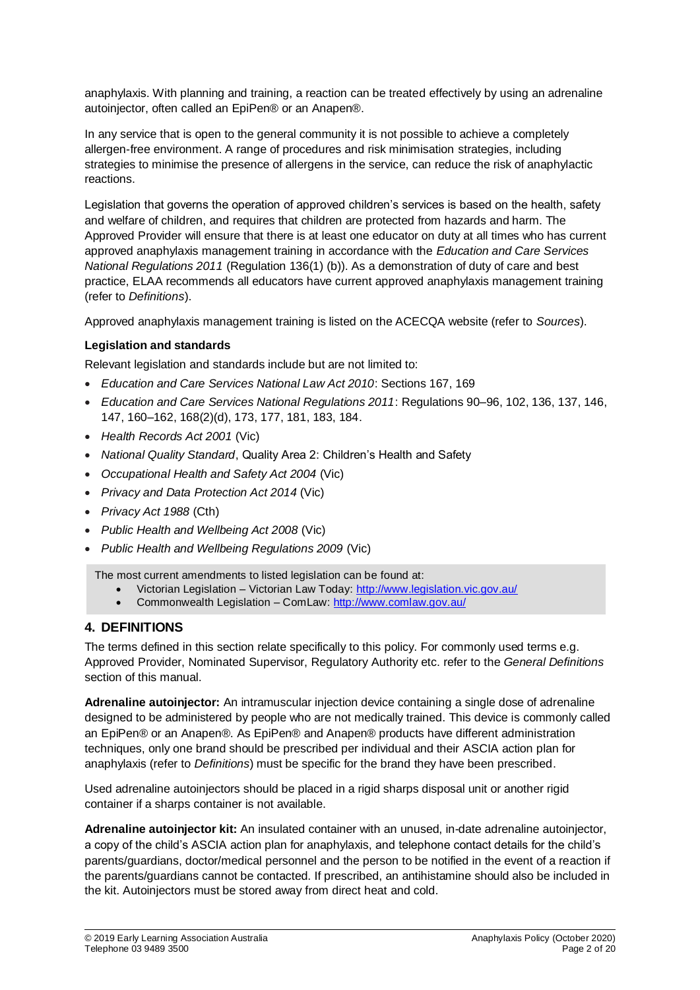anaphylaxis. With planning and training, a reaction can be treated effectively by using an adrenaline autoinjector, often called an EpiPen® or an Anapen®.

In any service that is open to the general community it is not possible to achieve a completely allergen-free environment. A range of procedures and risk minimisation strategies, including strategies to minimise the presence of allergens in the service, can reduce the risk of anaphylactic reactions.

Legislation that governs the operation of approved children's services is based on the health, safety and welfare of children, and requires that children are protected from hazards and harm. The Approved Provider will ensure that there is at least one educator on duty at all times who has current approved anaphylaxis management training in accordance with the *Education and Care Services National Regulations 2011* (Regulation 136(1) (b)). As a demonstration of duty of care and best practice, ELAA recommends all educators have current approved anaphylaxis management training (refer to *Definitions*).

Approved anaphylaxis management training is listed on the ACECQA website (refer to *Sources*).

#### **Legislation and standards**

Relevant legislation and standards include but are not limited to:

- *Education and Care Services National Law Act 2010*: Sections 167, 169
- *Education and Care Services National Regulations 2011*: Regulations 90–96, 102, 136, 137, 146, 147, 160–162, 168(2)(d), 173, 177, 181, 183, 184.
- *Health Records Act 2001* (Vic)
- *National Quality Standard*, Quality Area 2: Children's Health and Safety
- *Occupational Health and Safety Act 2004* (Vic)
- *Privacy and Data Protection Act 2014* (Vic)
- *Privacy Act 1988* (Cth)
- *Public Health and Wellbeing Act 2008* (Vic)
- *Public Health and Wellbeing Regulations 2009* (Vic)

The most current amendments to listed legislation can be found at:

- Victorian Legislation Victorian Law Today:<http://www.legislation.vic.gov.au/>
- Commonwealth Legislation ComLaw:<http://www.comlaw.gov.au/>

### **4. DEFINITIONS**

The terms defined in this section relate specifically to this policy. For commonly used terms e.g. Approved Provider, Nominated Supervisor, Regulatory Authority etc. refer to the *General Definitions* section of this manual.

**Adrenaline autoinjector:** An intramuscular injection device containing a single dose of adrenaline designed to be administered by people who are not medically trained. This device is commonly called an EpiPen® or an Anapen®. As EpiPen® and Anapen® products have different administration techniques, only one brand should be prescribed per individual and their ASCIA action plan for anaphylaxis (refer to *Definitions*) must be specific for the brand they have been prescribed.

Used adrenaline autoinjectors should be placed in a rigid sharps disposal unit or another rigid container if a sharps container is not available.

**Adrenaline autoinjector kit:** An insulated container with an unused, in-date adrenaline autoinjector, a copy of the child's ASCIA action plan for anaphylaxis, and telephone contact details for the child's parents/guardians, doctor/medical personnel and the person to be notified in the event of a reaction if the parents/guardians cannot be contacted. If prescribed, an antihistamine should also be included in the kit. Autoinjectors must be stored away from direct heat and cold.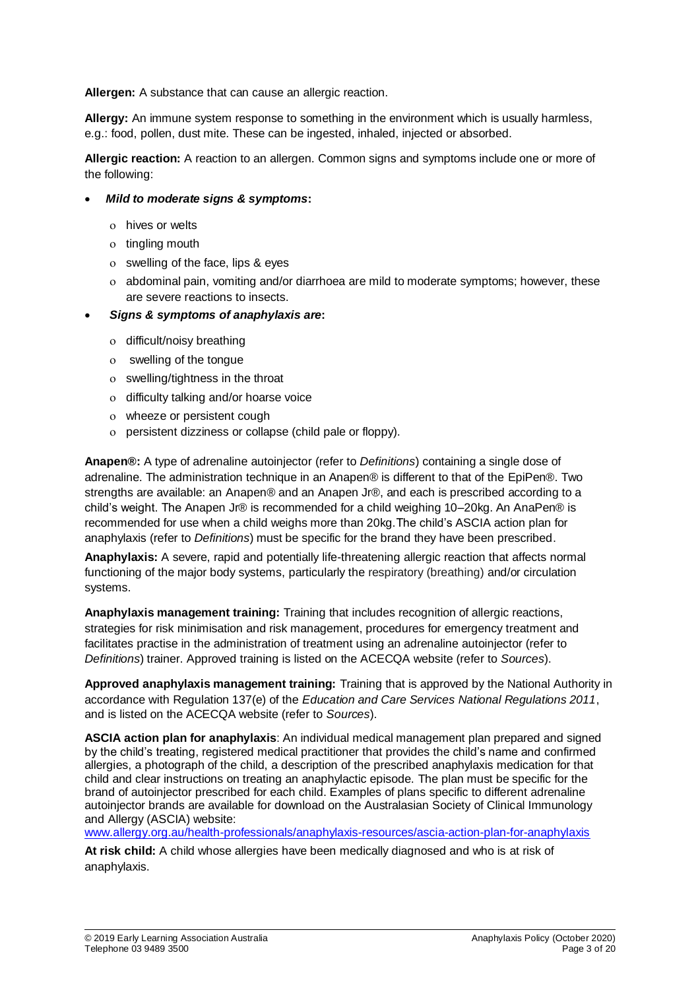**Allergen:** A substance that can cause an allergic reaction.

**Allergy:** An immune system response to something in the environment which is usually harmless, e.g.: food, pollen, dust mite. These can be ingested, inhaled, injected or absorbed.

**Allergic reaction:** A reaction to an allergen. Common signs and symptoms include one or more of the following:

#### *Mild to moderate signs & symptoms***:**

- hives or welts
- o tingling mouth
- swelling of the face, lips & eyes
- abdominal pain, vomiting and/or diarrhoea are mild to moderate symptoms; however, these are severe reactions to insects.
- *Signs & symptoms of anaphylaxis are***:**
	- o difficult/noisy breathing
	- swelling of the tongue
	- swelling/tightness in the throat
	- o difficulty talking and/or hoarse voice
	- wheeze or persistent cough
	- persistent dizziness or collapse (child pale or floppy).

**Anapen®:** A type of adrenaline autoinjector (refer to *Definitions*) containing a single dose of adrenaline. The administration technique in an Anapen® is different to that of the EpiPen®. Two strengths are available: an Anapen® and an Anapen Jr®, and each is prescribed according to a child's weight. The Anapen Jr® is recommended for a child weighing 10–20kg. An AnaPen® is recommended for use when a child weighs more than 20kg.The child's ASCIA action plan for anaphylaxis (refer to *Definitions*) must be specific for the brand they have been prescribed.

**Anaphylaxis:** A severe, rapid and potentially life-threatening allergic reaction that affects normal functioning of the major body systems, particularly the respiratory (breathing) and/or circulation systems.

**Anaphylaxis management training:** Training that includes recognition of allergic reactions, strategies for risk minimisation and risk management, procedures for emergency treatment and facilitates practise in the administration of treatment using an adrenaline autoinjector (refer to *Definitions*) trainer. Approved training is listed on the ACECQA website (refer to *Sources*).

**Approved anaphylaxis management training:** Training that is approved by the National Authority in accordance with Regulation 137(e) of the *Education and Care Services National Regulations 2011*, and is listed on the ACECQA website (refer to *Sources*).

**ASCIA action plan for anaphylaxis**: An individual medical management plan prepared and signed by the child's treating, registered medical practitioner that provides the child's name and confirmed allergies, a photograph of the child, a description of the prescribed anaphylaxis medication for that child and clear instructions on treating an anaphylactic episode. The plan must be specific for the brand of autoinjector prescribed for each child. Examples of plans specific to different adrenaline autoinjector brands are available for download on the Australasian Society of Clinical Immunology and Allergy (ASCIA) website:

[www.allergy.org.au/health-professionals/anaphylaxis-resources/ascia-action-plan-for-anaphylaxis](http://www.allergy.org.au/health-professionals/anaphylaxis-resources/ascia-action-plan-for-anaphylaxis)

**At risk child:** A child whose allergies have been medically diagnosed and who is at risk of anaphylaxis.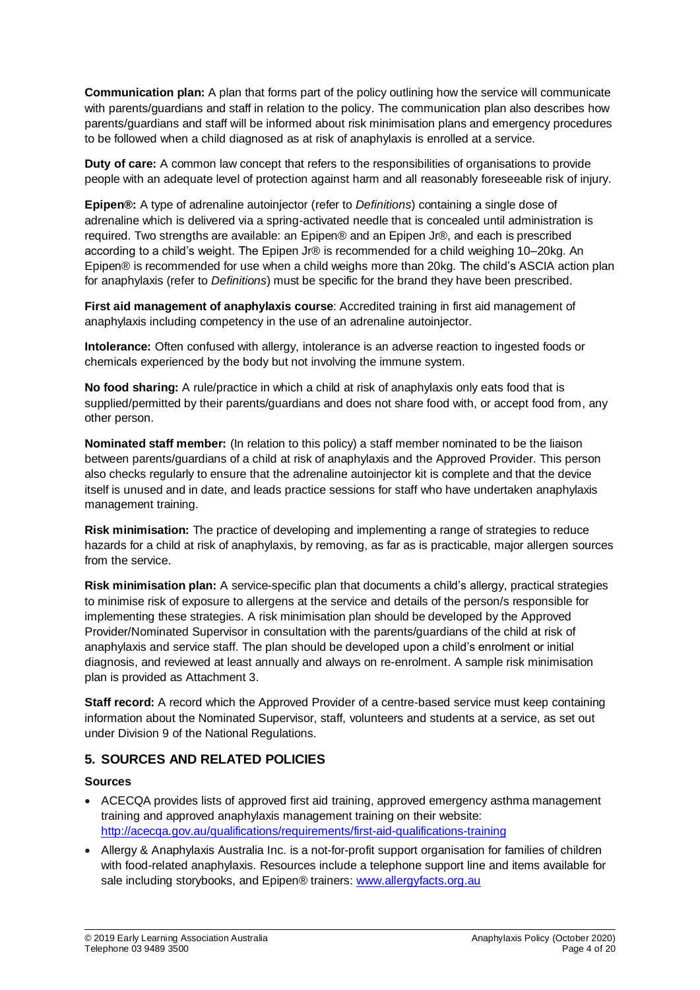**Communication plan:** A plan that forms part of the policy outlining how the service will communicate with parents/guardians and staff in relation to the policy. The communication plan also describes how parents/guardians and staff will be informed about risk minimisation plans and emergency procedures to be followed when a child diagnosed as at risk of anaphylaxis is enrolled at a service.

**Duty of care:** A common law concept that refers to the responsibilities of organisations to provide people with an adequate level of protection against harm and all reasonably foreseeable risk of injury.

**Epipen®:** A type of adrenaline autoinjector (refer to *Definitions*) containing a single dose of adrenaline which is delivered via a spring-activated needle that is concealed until administration is required. Two strengths are available: an Epipen® and an Epipen Jr®, and each is prescribed according to a child's weight. The Epipen Jr® is recommended for a child weighing 10–20kg. An Epipen® is recommended for use when a child weighs more than 20kg. The child's ASCIA action plan for anaphylaxis (refer to *Definitions*) must be specific for the brand they have been prescribed.

**First aid management of anaphylaxis course**: Accredited training in first aid management of anaphylaxis including competency in the use of an adrenaline autoinjector.

**Intolerance:** Often confused with allergy, intolerance is an adverse reaction to ingested foods or chemicals experienced by the body but not involving the immune system.

**No food sharing:** A rule/practice in which a child at risk of anaphylaxis only eats food that is supplied/permitted by their parents/quardians and does not share food with, or accept food from, any other person.

**Nominated staff member:** (In relation to this policy) a staff member nominated to be the liaison between parents/guardians of a child at risk of anaphylaxis and the Approved Provider. This person also checks regularly to ensure that the adrenaline autoinjector kit is complete and that the device itself is unused and in date, and leads practice sessions for staff who have undertaken anaphylaxis management training.

**Risk minimisation:** The practice of developing and implementing a range of strategies to reduce hazards for a child at risk of anaphylaxis, by removing, as far as is practicable, major allergen sources from the service.

**Risk minimisation plan:** A service-specific plan that documents a child's allergy, practical strategies to minimise risk of exposure to allergens at the service and details of the person/s responsible for implementing these strategies. A risk minimisation plan should be developed by the Approved Provider/Nominated Supervisor in consultation with the parents/guardians of the child at risk of anaphylaxis and service staff. The plan should be developed upon a child's enrolment or initial diagnosis, and reviewed at least annually and always on re-enrolment. A sample risk minimisation plan is provided as Attachment 3.

**Staff record:** A record which the Approved Provider of a centre-based service must keep containing information about the Nominated Supervisor, staff, volunteers and students at a service, as set out under Division 9 of the National Regulations.

### **5. SOURCES AND RELATED POLICIES**

#### **Sources**

- ACECQA provides lists of approved first aid training, approved emergency asthma management training and approved anaphylaxis management training on their website: <http://acecqa.gov.au/qualifications/requirements/first-aid-qualifications-training>
- Allergy & Anaphylaxis Australia Inc. is a not-for-profit support organisation for families of children with food-related anaphylaxis. Resources include a telephone support line and items available for sale including storybooks, and Epipen® trainers: [www.allergyfacts.org.au](http://www.allergyfacts.org.au/)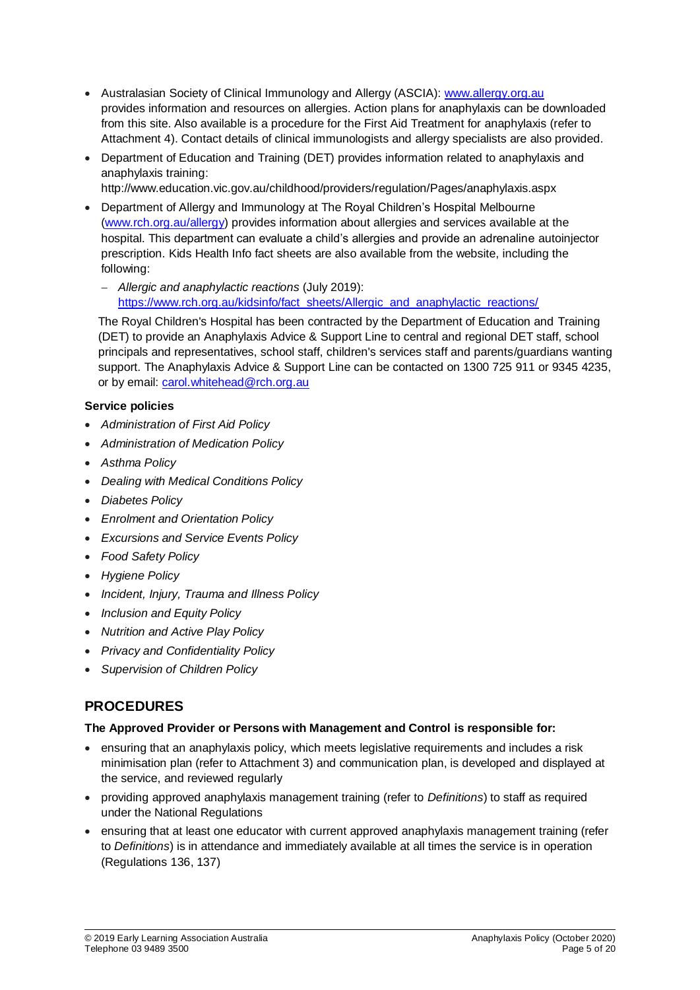- Australasian Society of Clinical Immunology and Allergy (ASCIA): [www.allergy.org.au](http://www.allergy.org.au/) provides information and resources on allergies. Action plans for anaphylaxis can be downloaded from this site. Also available is a procedure for the First Aid Treatment for anaphylaxis (refer to Attachment 4). Contact details of clinical immunologists and allergy specialists are also provided.
- Department of Education and Training (DET) provides information related to anaphylaxis and anaphylaxis training:

http://www.education.vic.gov.au/childhood/providers/regulation/Pages/anaphylaxis.aspx

 Department of Allergy and Immunology at The Royal Children's Hospital Melbourne [\(www.rch.org.au/allergy\)](http://www.rch.org.au/allergy) provides information about allergies and services available at the hospital. This department can evaluate a child's allergies and provide an adrenaline autoinjector prescription. Kids Health Info fact sheets are also available from the website, including the following:

 *Allergic and anaphylactic reactions* (July 2019): [https://www.rch.org.au/kidsinfo/fact\\_sheets/Allergic\\_and\\_anaphylactic\\_reactions/](https://www.rch.org.au/kidsinfo/fact_sheets/Allergic_and_anaphylactic_reactions/)

The Royal Children's Hospital has been contracted by the Department of Education and Training (DET) to provide an Anaphylaxis Advice & Support Line to central and regional DET staff, school principals and representatives, school staff, children's services staff and parents/guardians wanting support. The Anaphylaxis Advice & Support Line can be contacted on 1300 725 911 or 9345 4235, or by email: [carol.whitehead@rch.org.au](mailto:carol.whitehead@rch.org.au)

### **Service policies**

- *Administration of First Aid Policy*
- *Administration of Medication Policy*
- *Asthma Policy*
- *Dealing with Medical Conditions Policy*
- *Diabetes Policy*
- *Enrolment and Orientation Policy*
- *Excursions and Service Events Policy*
- *Food Safety Policy*
- *Hygiene Policy*
- *Incident, Injury, Trauma and Illness Policy*
- *Inclusion and Equity Policy*
- *Nutrition and Active Play Policy*
- *Privacy and Confidentiality Policy*
- *Supervision of Children Policy*

## **PROCEDURES**

### **The Approved Provider or Persons with Management and Control is responsible for:**

- ensuring that an anaphylaxis policy, which meets legislative requirements and includes a risk minimisation plan (refer to Attachment 3) and communication plan, is developed and displayed at the service, and reviewed regularly
- providing approved anaphylaxis management training (refer to *Definitions*) to staff as required under the National Regulations
- ensuring that at least one educator with current approved anaphylaxis management training (refer to *Definitions*) is in attendance and immediately available at all times the service is in operation (Regulations 136, 137)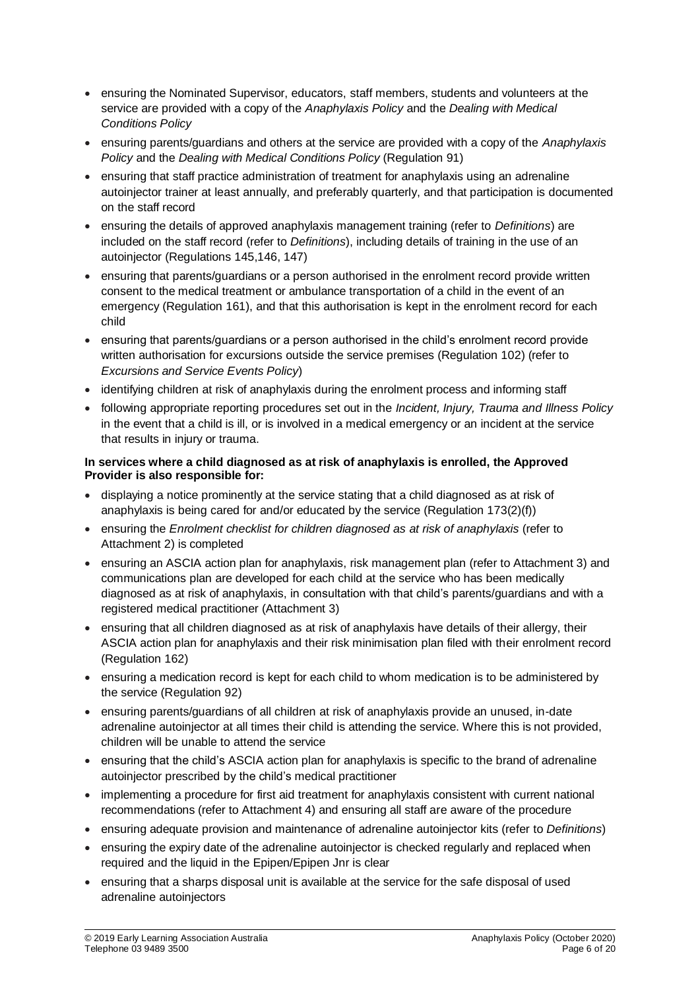- ensuring the Nominated Supervisor, educators, staff members, students and volunteers at the service are provided with a copy of the *Anaphylaxis Policy* and the *Dealing with Medical Conditions Policy*
- ensuring parents/guardians and others at the service are provided with a copy of the *Anaphylaxis Policy* and the *Dealing with Medical Conditions Policy* (Regulation 91)
- ensuring that staff practice administration of treatment for anaphylaxis using an adrenaline autoinjector trainer at least annually, and preferably quarterly, and that participation is documented on the staff record
- ensuring the details of approved anaphylaxis management training (refer to *Definitions*) are included on the staff record (refer to *Definitions*), including details of training in the use of an autoinjector (Regulations 145,146, 147)
- ensuring that parents/guardians or a person authorised in the enrolment record provide written consent to the medical treatment or ambulance transportation of a child in the event of an emergency (Regulation 161), and that this authorisation is kept in the enrolment record for each child
- ensuring that parents/guardians or a person authorised in the child's enrolment record provide written authorisation for excursions outside the service premises (Regulation 102) (refer to *Excursions and Service Events Policy*)
- identifying children at risk of anaphylaxis during the enrolment process and informing staff
- following appropriate reporting procedures set out in the *Incident, Injury, Trauma and Illness Policy* in the event that a child is ill, or is involved in a medical emergency or an incident at the service that results in injury or trauma.

#### **In services where a child diagnosed as at risk of anaphylaxis is enrolled, the Approved Provider is also responsible for:**

- displaying a notice prominently at the service stating that a child diagnosed as at risk of anaphylaxis is being cared for and/or educated by the service (Regulation 173(2)(f))
- ensuring the *Enrolment checklist for children diagnosed as at risk of anaphylaxis* (refer to Attachment 2) is completed
- ensuring an ASCIA action plan for anaphylaxis, risk management plan (refer to Attachment 3) and communications plan are developed for each child at the service who has been medically diagnosed as at risk of anaphylaxis, in consultation with that child's parents/guardians and with a registered medical practitioner (Attachment 3)
- ensuring that all children diagnosed as at risk of anaphylaxis have details of their allergy, their ASCIA action plan for anaphylaxis and their risk minimisation plan filed with their enrolment record (Regulation 162)
- ensuring a medication record is kept for each child to whom medication is to be administered by the service (Regulation 92)
- ensuring parents/guardians of all children at risk of anaphylaxis provide an unused, in-date adrenaline autoinjector at all times their child is attending the service. Where this is not provided, children will be unable to attend the service
- ensuring that the child's ASCIA action plan for anaphylaxis is specific to the brand of adrenaline autoinjector prescribed by the child's medical practitioner
- implementing a procedure for first aid treatment for anaphylaxis consistent with current national recommendations (refer to Attachment 4) and ensuring all staff are aware of the procedure
- ensuring adequate provision and maintenance of adrenaline autoinjector kits (refer to *Definitions*)
- ensuring the expiry date of the adrenaline autoinjector is checked regularly and replaced when required and the liquid in the Epipen/Epipen Jnr is clear
- ensuring that a sharps disposal unit is available at the service for the safe disposal of used adrenaline autoinjectors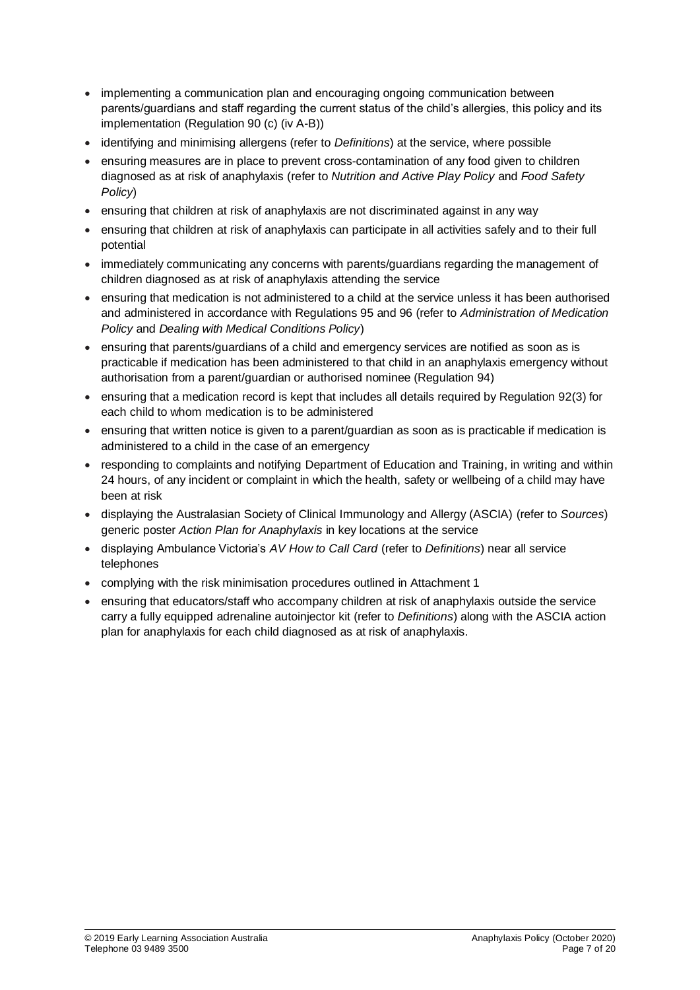- implementing a communication plan and encouraging ongoing communication between parents/guardians and staff regarding the current status of the child's allergies, this policy and its implementation (Regulation 90 (c) (iv A-B))
- identifying and minimising allergens (refer to *Definitions*) at the service, where possible
- ensuring measures are in place to prevent cross-contamination of any food given to children diagnosed as at risk of anaphylaxis (refer to *Nutrition and Active Play Policy* and *Food Safety Policy*)
- ensuring that children at risk of anaphylaxis are not discriminated against in any way
- ensuring that children at risk of anaphylaxis can participate in all activities safely and to their full potential
- immediately communicating any concerns with parents/guardians regarding the management of children diagnosed as at risk of anaphylaxis attending the service
- ensuring that medication is not administered to a child at the service unless it has been authorised and administered in accordance with Regulations 95 and 96 (refer to *Administration of Medication Policy* and *Dealing with Medical Conditions Policy*)
- ensuring that parents/guardians of a child and emergency services are notified as soon as is practicable if medication has been administered to that child in an anaphylaxis emergency without authorisation from a parent/guardian or authorised nominee (Regulation 94)
- ensuring that a medication record is kept that includes all details required by Regulation 92(3) for each child to whom medication is to be administered
- ensuring that written notice is given to a parent/guardian as soon as is practicable if medication is administered to a child in the case of an emergency
- responding to complaints and notifying Department of Education and Training, in writing and within 24 hours, of any incident or complaint in which the health, safety or wellbeing of a child may have been at risk
- displaying the Australasian Society of Clinical Immunology and Allergy (ASCIA) (refer to *Sources*) generic poster *Action Plan for Anaphylaxis* in key locations at the service
- displaying Ambulance Victoria's *AV How to Call Card* (refer to *Definitions*) near all service telephones
- complying with the risk minimisation procedures outlined in Attachment 1
- ensuring that educators/staff who accompany children at risk of anaphylaxis outside the service carry a fully equipped adrenaline autoinjector kit (refer to *Definitions*) along with the ASCIA action plan for anaphylaxis for each child diagnosed as at risk of anaphylaxis.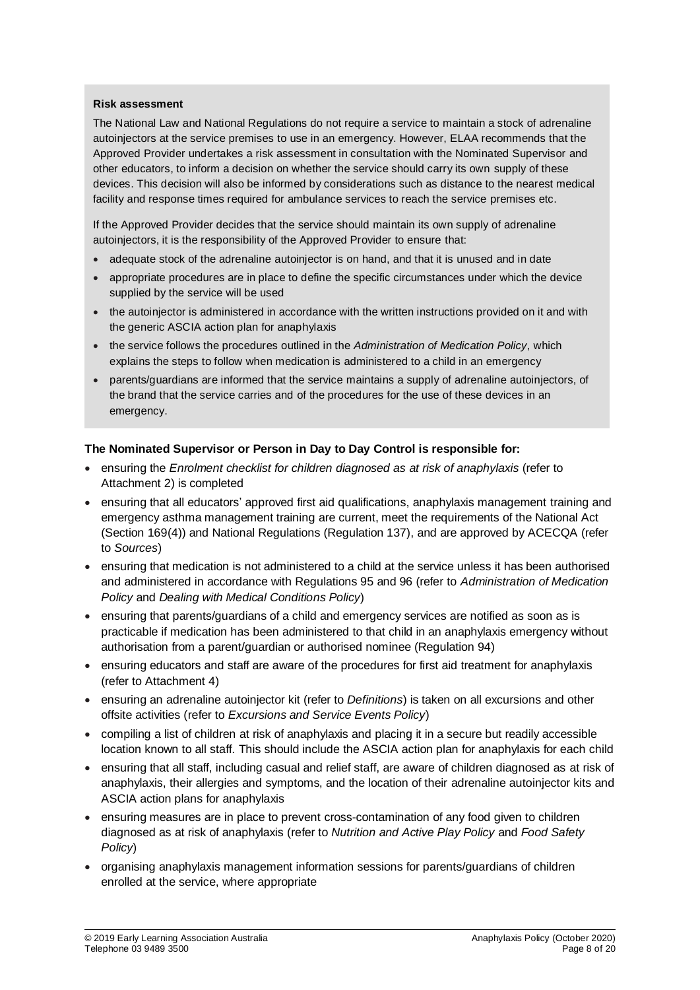#### **Risk assessment**

The National Law and National Regulations do not require a service to maintain a stock of adrenaline autoinjectors at the service premises to use in an emergency. However, ELAA recommends that the Approved Provider undertakes a risk assessment in consultation with the Nominated Supervisor and other educators, to inform a decision on whether the service should carry its own supply of these devices. This decision will also be informed by considerations such as distance to the nearest medical facility and response times required for ambulance services to reach the service premises etc.

If the Approved Provider decides that the service should maintain its own supply of adrenaline autoinjectors, it is the responsibility of the Approved Provider to ensure that:

- adequate stock of the adrenaline autoinjector is on hand, and that it is unused and in date
- appropriate procedures are in place to define the specific circumstances under which the device supplied by the service will be used
- the autoinjector is administered in accordance with the written instructions provided on it and with the generic ASCIA action plan for anaphylaxis
- the service follows the procedures outlined in the *Administration of Medication Policy*, which explains the steps to follow when medication is administered to a child in an emergency
- parents/guardians are informed that the service maintains a supply of adrenaline autoinjectors, of the brand that the service carries and of the procedures for the use of these devices in an emergency.

#### **The Nominated Supervisor or Person in Day to Day Control is responsible for:**

- ensuring the *Enrolment checklist for children diagnosed as at risk of anaphylaxis* (refer to Attachment 2) is completed
- ensuring that all educators' approved first aid qualifications, anaphylaxis management training and emergency asthma management training are current, meet the requirements of the National Act (Section 169(4)) and National Regulations (Regulation 137), and are approved by ACECQA (refer to *Sources*)
- ensuring that medication is not administered to a child at the service unless it has been authorised and administered in accordance with Regulations 95 and 96 (refer to *Administration of Medication Policy* and *Dealing with Medical Conditions Policy*)
- ensuring that parents/guardians of a child and emergency services are notified as soon as is practicable if medication has been administered to that child in an anaphylaxis emergency without authorisation from a parent/guardian or authorised nominee (Regulation 94)
- ensuring educators and staff are aware of the procedures for first aid treatment for anaphylaxis (refer to Attachment 4)
- ensuring an adrenaline autoinjector kit (refer to *Definitions*) is taken on all excursions and other offsite activities (refer to *Excursions and Service Events Policy*)
- compiling a list of children at risk of anaphylaxis and placing it in a secure but readily accessible location known to all staff. This should include the ASCIA action plan for anaphylaxis for each child
- ensuring that all staff, including casual and relief staff, are aware of children diagnosed as at risk of anaphylaxis, their allergies and symptoms, and the location of their adrenaline autoinjector kits and ASCIA action plans for anaphylaxis
- ensuring measures are in place to prevent cross-contamination of any food given to children diagnosed as at risk of anaphylaxis (refer to *Nutrition and Active Play Policy* and *Food Safety Policy*)
- organising anaphylaxis management information sessions for parents/guardians of children enrolled at the service, where appropriate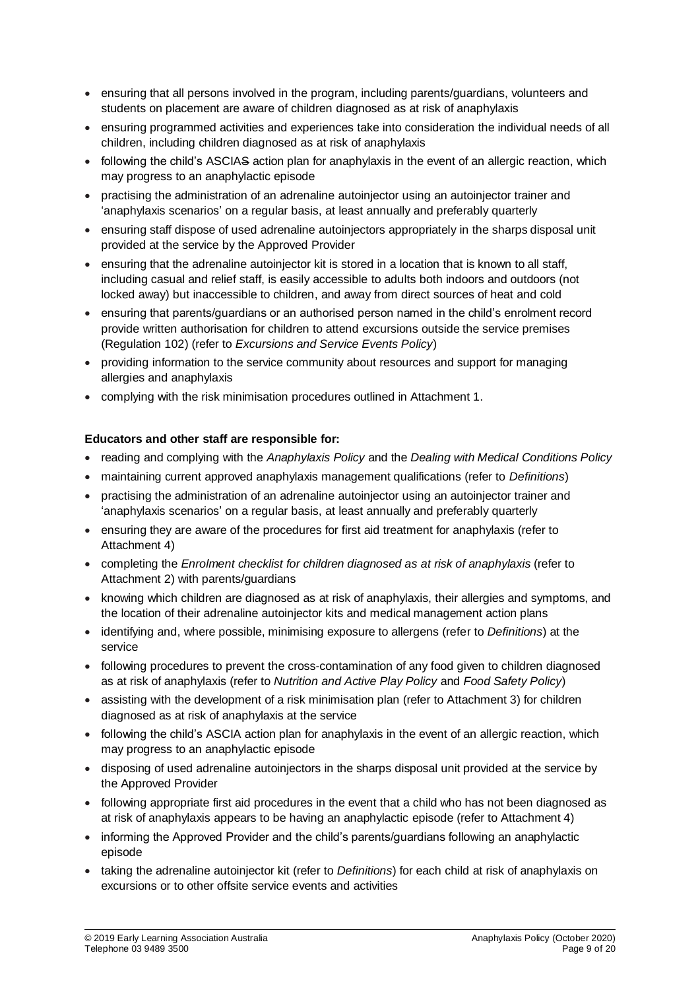- ensuring that all persons involved in the program, including parents/guardians, volunteers and students on placement are aware of children diagnosed as at risk of anaphylaxis
- ensuring programmed activities and experiences take into consideration the individual needs of all children, including children diagnosed as at risk of anaphylaxis
- following the child's ASCIAS action plan for anaphylaxis in the event of an allergic reaction, which may progress to an anaphylactic episode
- practising the administration of an adrenaline autoinjector using an autoinjector trainer and 'anaphylaxis scenarios' on a regular basis, at least annually and preferably quarterly
- ensuring staff dispose of used adrenaline autoinjectors appropriately in the sharps disposal unit provided at the service by the Approved Provider
- ensuring that the adrenaline autoinjector kit is stored in a location that is known to all staff, including casual and relief staff, is easily accessible to adults both indoors and outdoors (not locked away) but inaccessible to children, and away from direct sources of heat and cold
- ensuring that parents/guardians or an authorised person named in the child's enrolment record provide written authorisation for children to attend excursions outside the service premises (Regulation 102) (refer to *Excursions and Service Events Policy*)
- providing information to the service community about resources and support for managing allergies and anaphylaxis
- complying with the risk minimisation procedures outlined in Attachment 1.

### **Educators and other staff are responsible for:**

- reading and complying with the *Anaphylaxis Policy* and the *Dealing with Medical Conditions Policy*
- maintaining current approved anaphylaxis management qualifications (refer to *Definitions*)
- practising the administration of an adrenaline autoinjector using an autoinjector trainer and 'anaphylaxis scenarios' on a regular basis, at least annually and preferably quarterly
- ensuring they are aware of the procedures for first aid treatment for anaphylaxis (refer to Attachment 4)
- completing the *Enrolment checklist for children diagnosed as at risk of anaphylaxis* (refer to Attachment 2) with parents/guardians
- knowing which children are diagnosed as at risk of anaphylaxis, their allergies and symptoms, and the location of their adrenaline autoinjector kits and medical management action plans
- identifying and, where possible, minimising exposure to allergens (refer to *Definitions*) at the service
- following procedures to prevent the cross-contamination of any food given to children diagnosed as at risk of anaphylaxis (refer to *Nutrition and Active Play Policy* and *Food Safety Policy*)
- assisting with the development of a risk minimisation plan (refer to Attachment 3) for children diagnosed as at risk of anaphylaxis at the service
- following the child's ASCIA action plan for anaphylaxis in the event of an allergic reaction, which may progress to an anaphylactic episode
- disposing of used adrenaline autoinjectors in the sharps disposal unit provided at the service by the Approved Provider
- following appropriate first aid procedures in the event that a child who has not been diagnosed as at risk of anaphylaxis appears to be having an anaphylactic episode (refer to Attachment 4)
- informing the Approved Provider and the child's parents/guardians following an anaphylactic episode
- taking the adrenaline autoinjector kit (refer to *Definitions*) for each child at risk of anaphylaxis on excursions or to other offsite service events and activities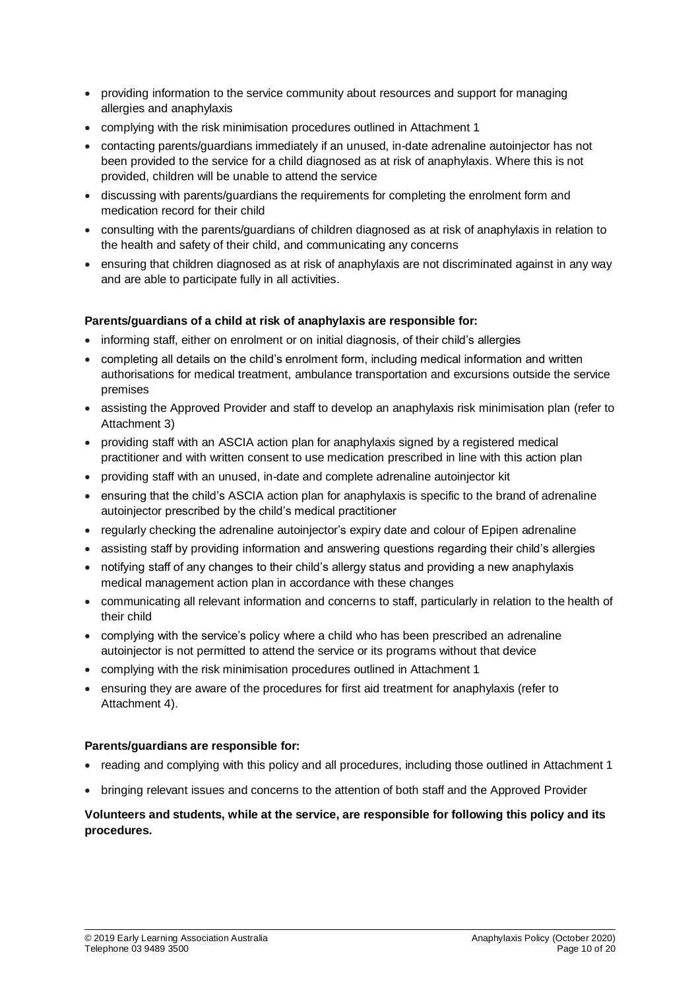- providing information to the service community about resources and support for managing allergies and anaphylaxis
- complying with the risk minimisation procedures outlined in Attachment 1
- contacting parents/guardians immediately if an unused, in-date adrenaline autoinjector has not been provided to the service for a child diagnosed as at risk of anaphylaxis. Where this is not provided, children will be unable to attend the service
- discussing with parents/guardians the requirements for completing the enrolment form and medication record for their child
- consulting with the parents/guardians of children diagnosed as at risk of anaphylaxis in relation to the health and safety of their child, and communicating any concerns
- ensuring that children diagnosed as at risk of anaphylaxis are not discriminated against in any way and are able to participate fully in all activities.

### **Parents/guardians of a child at risk of anaphylaxis are responsible for:**

- informing staff, either on enrolment or on initial diagnosis, of their child's allergies
- completing all details on the child's enrolment form, including medical information and written authorisations for medical treatment, ambulance transportation and excursions outside the service premises
- assisting the Approved Provider and staff to develop an anaphylaxis risk minimisation plan (refer to Attachment 3)
- providing staff with an ASCIA action plan for anaphylaxis signed by a registered medical practitioner and with written consent to use medication prescribed in line with this action plan
- providing staff with an unused, in-date and complete adrenaline autoinjector kit
- ensuring that the child's ASCIA action plan for anaphylaxis is specific to the brand of adrenaline autoinjector prescribed by the child's medical practitioner
- regularly checking the adrenaline autoinjector's expiry date and colour of Epipen adrenaline
- assisting staff by providing information and answering questions regarding their child's allergies
- notifying staff of any changes to their child's allergy status and providing a new anaphylaxis medical management action plan in accordance with these changes
- communicating all relevant information and concerns to staff, particularly in relation to the health of their child
- complying with the service's policy where a child who has been prescribed an adrenaline autoinjector is not permitted to attend the service or its programs without that device
- complying with the risk minimisation procedures outlined in Attachment 1
- ensuring they are aware of the procedures for first aid treatment for anaphylaxis (refer to Attachment 4).

### **Parents/guardians are responsible for:**

- reading and complying with this policy and all procedures, including those outlined in Attachment 1
- bringing relevant issues and concerns to the attention of both staff and the Approved Provider

### **Volunteers and students, while at the service, are responsible for following this policy and its procedures.**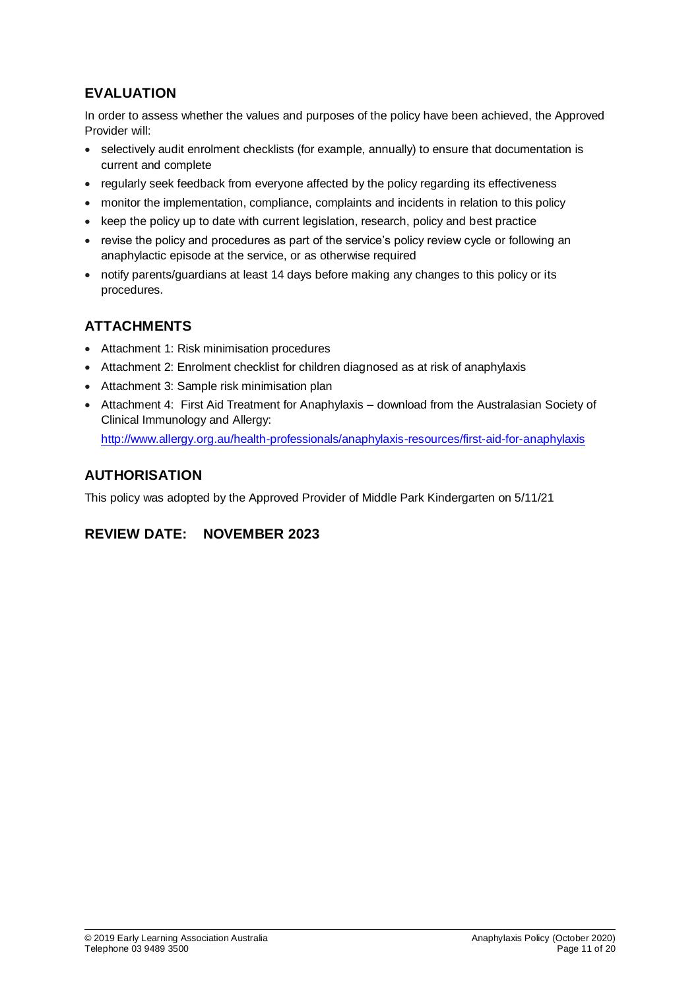## **EVALUATION**

In order to assess whether the values and purposes of the policy have been achieved, the Approved Provider will:

- selectively audit enrolment checklists (for example, annually) to ensure that documentation is current and complete
- regularly seek feedback from everyone affected by the policy regarding its effectiveness
- monitor the implementation, compliance, complaints and incidents in relation to this policy
- keep the policy up to date with current legislation, research, policy and best practice
- revise the policy and procedures as part of the service's policy review cycle or following an anaphylactic episode at the service, or as otherwise required
- notify parents/guardians at least 14 days before making any changes to this policy or its procedures.

## **ATTACHMENTS**

- Attachment 1: Risk minimisation procedures
- Attachment 2: Enrolment checklist for children diagnosed as at risk of anaphylaxis
- Attachment 3: Sample risk minimisation plan
- Attachment 4: First Aid Treatment for Anaphylaxis download from the Australasian Society of Clinical Immunology and Allergy:

<http://www.allergy.org.au/health-professionals/anaphylaxis-resources/first-aid-for-anaphylaxis>

## **AUTHORISATION**

This policy was adopted by the Approved Provider of Middle Park Kindergarten on 5/11/21

## **REVIEW DATE: NOVEMBER 2023**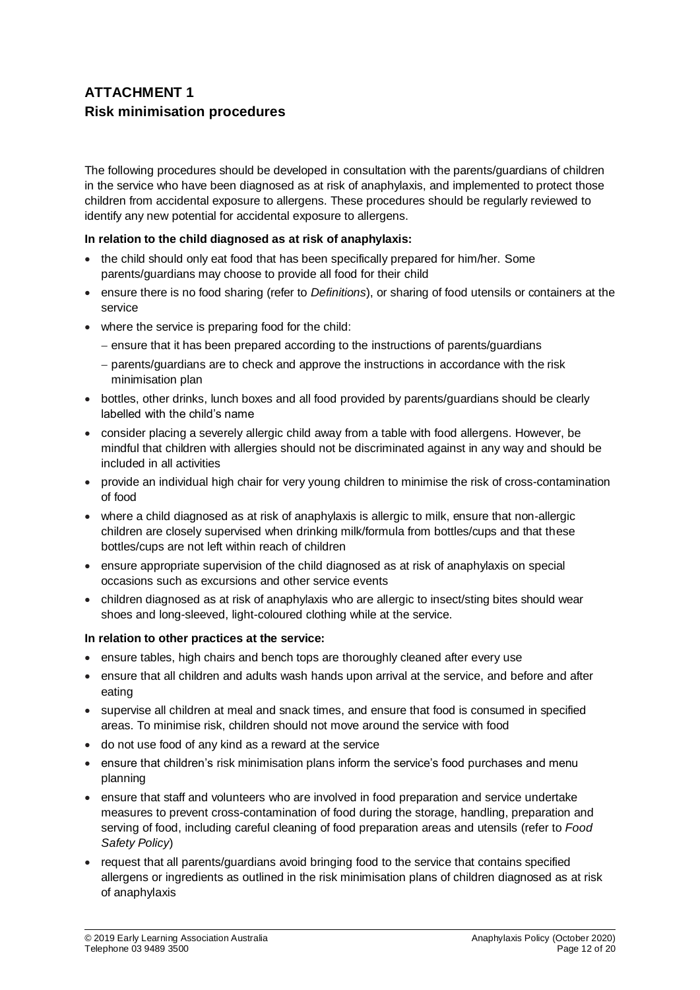## **ATTACHMENT 1 Risk minimisation procedures**

The following procedures should be developed in consultation with the parents/guardians of children in the service who have been diagnosed as at risk of anaphylaxis, and implemented to protect those children from accidental exposure to allergens. These procedures should be regularly reviewed to identify any new potential for accidental exposure to allergens.

### **In relation to the child diagnosed as at risk of anaphylaxis:**

- the child should only eat food that has been specifically prepared for him/her. Some parents/guardians may choose to provide all food for their child
- ensure there is no food sharing (refer to *Definitions*), or sharing of food utensils or containers at the service
- where the service is preparing food for the child:
	- ensure that it has been prepared according to the instructions of parents/guardians
	- parents/guardians are to check and approve the instructions in accordance with the risk minimisation plan
- bottles, other drinks, lunch boxes and all food provided by parents/guardians should be clearly labelled with the child's name
- consider placing a severely allergic child away from a table with food allergens. However, be mindful that children with allergies should not be discriminated against in any way and should be included in all activities
- provide an individual high chair for very young children to minimise the risk of cross-contamination of food
- where a child diagnosed as at risk of anaphylaxis is allergic to milk, ensure that non-allergic children are closely supervised when drinking milk/formula from bottles/cups and that these bottles/cups are not left within reach of children
- ensure appropriate supervision of the child diagnosed as at risk of anaphylaxis on special occasions such as excursions and other service events
- children diagnosed as at risk of anaphylaxis who are allergic to insect/sting bites should wear shoes and long-sleeved, light-coloured clothing while at the service.

### **In relation to other practices at the service:**

- ensure tables, high chairs and bench tops are thoroughly cleaned after every use
- ensure that all children and adults wash hands upon arrival at the service, and before and after eating
- supervise all children at meal and snack times, and ensure that food is consumed in specified areas. To minimise risk, children should not move around the service with food
- do not use food of any kind as a reward at the service
- ensure that children's risk minimisation plans inform the service's food purchases and menu planning
- ensure that staff and volunteers who are involved in food preparation and service undertake measures to prevent cross-contamination of food during the storage, handling, preparation and serving of food, including careful cleaning of food preparation areas and utensils (refer to *Food Safety Policy*)
- request that all parents/guardians avoid bringing food to the service that contains specified allergens or ingredients as outlined in the risk minimisation plans of children diagnosed as at risk of anaphylaxis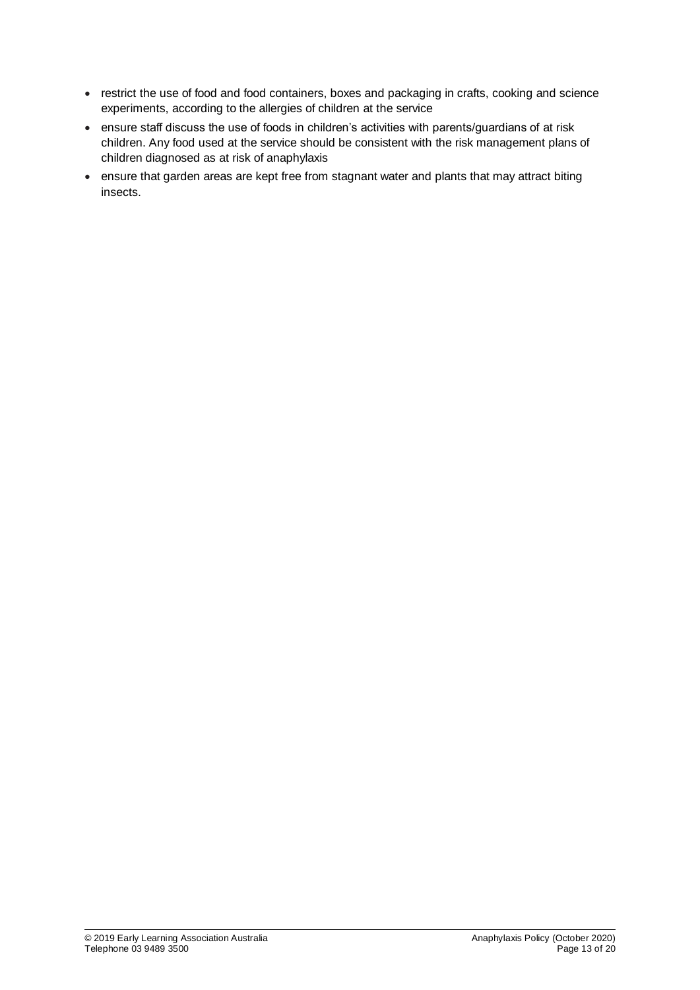- restrict the use of food and food containers, boxes and packaging in crafts, cooking and science experiments, according to the allergies of children at the service
- ensure staff discuss the use of foods in children's activities with parents/guardians of at risk children. Any food used at the service should be consistent with the risk management plans of children diagnosed as at risk of anaphylaxis
- ensure that garden areas are kept free from stagnant water and plants that may attract biting insects.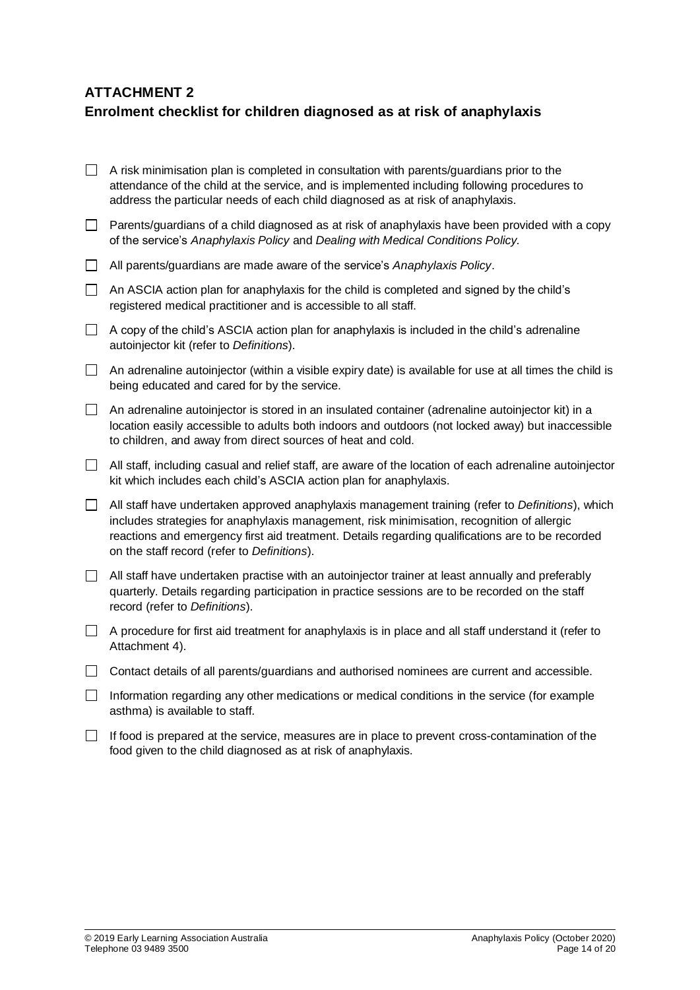## **ATTACHMENT 2**

## **Enrolment checklist for children diagnosed as at risk of anaphylaxis**

- $\Box$  A risk minimisation plan is completed in consultation with parents/guardians prior to the attendance of the child at the service, and is implemented including following procedures to address the particular needs of each child diagnosed as at risk of anaphylaxis.
- $\Box$  Parents/guardians of a child diagnosed as at risk of anaphylaxis have been provided with a copy of the service's *Anaphylaxis Policy* and *Dealing with Medical Conditions Policy.*
- All parents/guardians are made aware of the service's *Anaphylaxis Policy*.
- $\Box$  An ASCIA action plan for anaphylaxis for the child is completed and signed by the child's registered medical practitioner and is accessible to all staff.
- $\Box$  A copy of the child's ASCIA action plan for anaphylaxis is included in the child's adrenaline autoinjector kit (refer to *Definitions*).
- $\Box$  An adrenaline autoinjector (within a visible expiry date) is available for use at all times the child is being educated and cared for by the service.
- $\Box$  An adrenaline autoinjector is stored in an insulated container (adrenaline autoinjector kit) in a location easily accessible to adults both indoors and outdoors (not locked away) but inaccessible to children, and away from direct sources of heat and cold.
- $\Box$  All staff, including casual and relief staff, are aware of the location of each adrenaline autoinjector kit which includes each child's ASCIA action plan for anaphylaxis.
- All staff have undertaken approved anaphylaxis management training (refer to *Definitions*), which includes strategies for anaphylaxis management, risk minimisation, recognition of allergic reactions and emergency first aid treatment. Details regarding qualifications are to be recorded on the staff record (refer to *Definitions*).
- $\Box$  All staff have undertaken practise with an autoinjector trainer at least annually and preferably quarterly. Details regarding participation in practice sessions are to be recorded on the staff record (refer to *Definitions*).
- $\Box$  A procedure for first aid treatment for anaphylaxis is in place and all staff understand it (refer to Attachment 4).
- Contact details of all parents/guardians and authorised nominees are current and accessible.
- Information regarding any other medications or medical conditions in the service (for example asthma) is available to staff.
- $\Box$  If food is prepared at the service, measures are in place to prevent cross-contamination of the food given to the child diagnosed as at risk of anaphylaxis.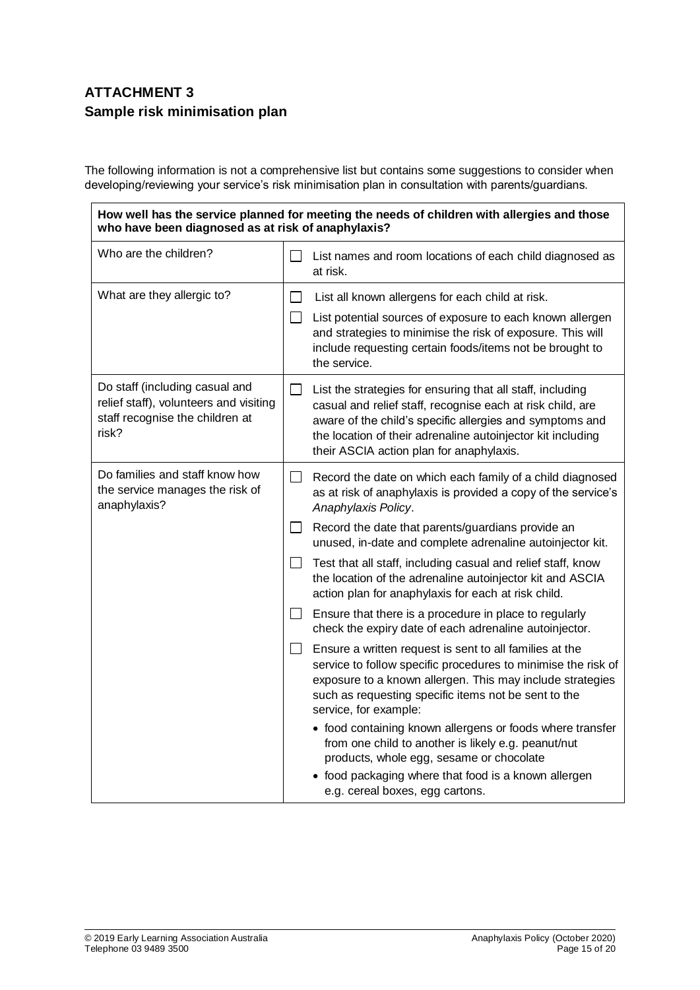## **ATTACHMENT 3 Sample risk minimisation plan**

The following information is not a comprehensive list but contains some suggestions to consider when developing/reviewing your service's risk minimisation plan in consultation with parents/guardians.

**How well has the service planned for meeting the needs of children with allergies and those who have been diagnosed as at risk of anaphylaxis?**

| Who are the children?                                                                                                |              | List names and room locations of each child diagnosed as<br>at risk.                                                                                                                                                                                                                            |
|----------------------------------------------------------------------------------------------------------------------|--------------|-------------------------------------------------------------------------------------------------------------------------------------------------------------------------------------------------------------------------------------------------------------------------------------------------|
| What are they allergic to?                                                                                           | $\perp$      | List all known allergens for each child at risk.<br>List potential sources of exposure to each known allergen<br>and strategies to minimise the risk of exposure. This will<br>include requesting certain foods/items not be brought to<br>the service.                                         |
| Do staff (including casual and<br>relief staff), volunteers and visiting<br>staff recognise the children at<br>risk? | $\mathsf{L}$ | List the strategies for ensuring that all staff, including<br>casual and relief staff, recognise each at risk child, are<br>aware of the child's specific allergies and symptoms and<br>the location of their adrenaline autoinjector kit including<br>their ASCIA action plan for anaphylaxis. |
| Do families and staff know how<br>the service manages the risk of<br>anaphylaxis?                                    |              | Record the date on which each family of a child diagnosed<br>as at risk of anaphylaxis is provided a copy of the service's<br>Anaphylaxis Policy.                                                                                                                                               |
|                                                                                                                      | $\mathsf{L}$ | Record the date that parents/guardians provide an<br>unused, in-date and complete adrenaline autoinjector kit.                                                                                                                                                                                  |
|                                                                                                                      | $\mathsf{L}$ | Test that all staff, including casual and relief staff, know<br>the location of the adrenaline autoinjector kit and ASCIA<br>action plan for anaphylaxis for each at risk child.                                                                                                                |
|                                                                                                                      | ப            | Ensure that there is a procedure in place to regularly<br>check the expiry date of each adrenaline autoinjector.                                                                                                                                                                                |
|                                                                                                                      | $\mathsf{L}$ | Ensure a written request is sent to all families at the<br>service to follow specific procedures to minimise the risk of<br>exposure to a known allergen. This may include strategies<br>such as requesting specific items not be sent to the<br>service, for example:                          |
|                                                                                                                      |              | • food containing known allergens or foods where transfer<br>from one child to another is likely e.g. peanut/nut<br>products, whole egg, sesame or chocolate                                                                                                                                    |
|                                                                                                                      |              | • food packaging where that food is a known allergen<br>e.g. cereal boxes, egg cartons.                                                                                                                                                                                                         |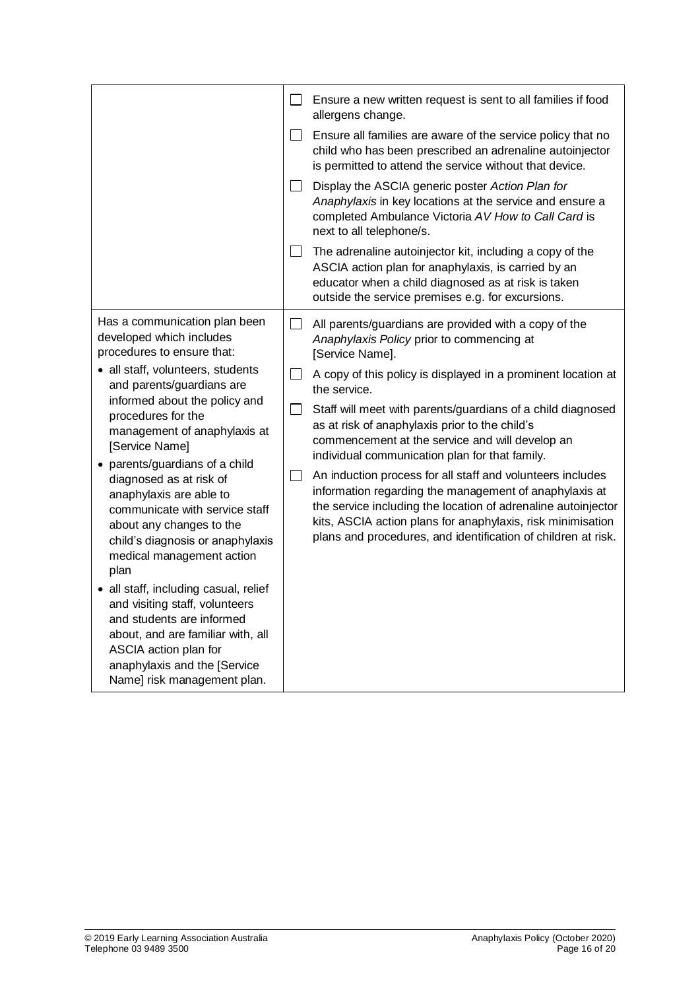|                                                                                                                                                                                                                                                                                                                                                                                                        | $\mathsf{I}$ | Ensure a new written request is sent to all families if food<br>allergens change.                                                                                                                                                                                                                                     |
|--------------------------------------------------------------------------------------------------------------------------------------------------------------------------------------------------------------------------------------------------------------------------------------------------------------------------------------------------------------------------------------------------------|--------------|-----------------------------------------------------------------------------------------------------------------------------------------------------------------------------------------------------------------------------------------------------------------------------------------------------------------------|
|                                                                                                                                                                                                                                                                                                                                                                                                        | $\perp$      | Ensure all families are aware of the service policy that no<br>child who has been prescribed an adrenaline autoinjector<br>is permitted to attend the service without that device.                                                                                                                                    |
|                                                                                                                                                                                                                                                                                                                                                                                                        | $\mathsf{L}$ | Display the ASCIA generic poster Action Plan for<br>Anaphylaxis in key locations at the service and ensure a<br>completed Ambulance Victoria AV How to Call Card is<br>next to all telephone/s.                                                                                                                       |
|                                                                                                                                                                                                                                                                                                                                                                                                        | $\Box$       | The adrenaline autoinjector kit, including a copy of the<br>ASCIA action plan for anaphylaxis, is carried by an<br>educator when a child diagnosed as at risk is taken<br>outside the service premises e.g. for excursions.                                                                                           |
| Has a communication plan been<br>developed which includes<br>procedures to ensure that:                                                                                                                                                                                                                                                                                                                | $\mathsf{L}$ | All parents/guardians are provided with a copy of the<br>Anaphylaxis Policy prior to commencing at<br>[Service Name].                                                                                                                                                                                                 |
| • all staff, volunteers, students<br>and parents/guardians are<br>informed about the policy and<br>procedures for the<br>management of anaphylaxis at<br>[Service Name]<br>• parents/guardians of a child<br>diagnosed as at risk of<br>anaphylaxis are able to<br>communicate with service staff<br>about any changes to the<br>child's diagnosis or anaphylaxis<br>medical management action<br>plan | $\mathsf{L}$ | A copy of this policy is displayed in a prominent location at<br>the service.                                                                                                                                                                                                                                         |
|                                                                                                                                                                                                                                                                                                                                                                                                        | $\Box$       | Staff will meet with parents/guardians of a child diagnosed<br>as at risk of anaphylaxis prior to the child's<br>commencement at the service and will develop an<br>individual communication plan for that family.                                                                                                    |
|                                                                                                                                                                                                                                                                                                                                                                                                        | $\Box$       | An induction process for all staff and volunteers includes<br>information regarding the management of anaphylaxis at<br>the service including the location of adrenaline autoinjector<br>kits, ASCIA action plans for anaphylaxis, risk minimisation<br>plans and procedures, and identification of children at risk. |
| · all staff, including casual, relief<br>and visiting staff, volunteers<br>and students are informed<br>about, and are familiar with, all<br>ASCIA action plan for<br>anaphylaxis and the [Service<br>Name] risk management plan.                                                                                                                                                                      |              |                                                                                                                                                                                                                                                                                                                       |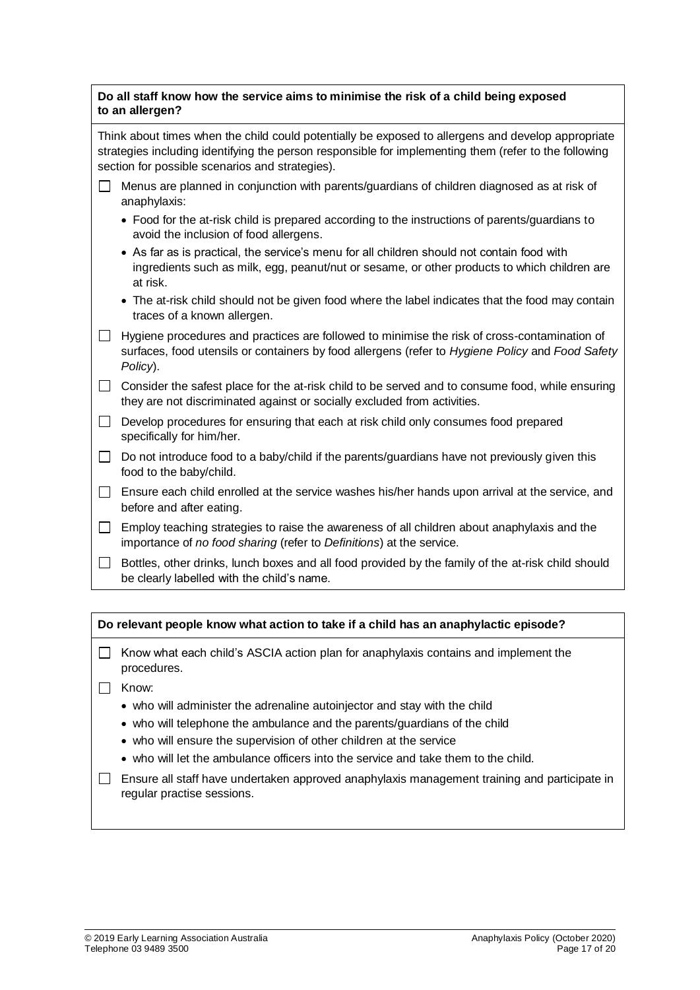| Do all staff know how the service aims to minimise the risk of a child being exposed<br>to an allergen?                                                                                                                                                        |  |  |  |  |
|----------------------------------------------------------------------------------------------------------------------------------------------------------------------------------------------------------------------------------------------------------------|--|--|--|--|
| Think about times when the child could potentially be exposed to allergens and develop appropriate<br>strategies including identifying the person responsible for implementing them (refer to the following<br>section for possible scenarios and strategies). |  |  |  |  |
| Menus are planned in conjunction with parents/guardians of children diagnosed as at risk of<br>$\mathsf{L}$<br>anaphylaxis:                                                                                                                                    |  |  |  |  |
| • Food for the at-risk child is prepared according to the instructions of parents/guardians to<br>avoid the inclusion of food allergens.                                                                                                                       |  |  |  |  |
| • As far as is practical, the service's menu for all children should not contain food with<br>ingredients such as milk, egg, peanut/nut or sesame, or other products to which children are<br>at risk.                                                         |  |  |  |  |
| • The at-risk child should not be given food where the label indicates that the food may contain<br>traces of a known allergen.                                                                                                                                |  |  |  |  |
| Hygiene procedures and practices are followed to minimise the risk of cross-contamination of<br>$\Box$<br>surfaces, food utensils or containers by food allergens (refer to Hygiene Policy and Food Safety<br>Policy).                                         |  |  |  |  |
| Consider the safest place for the at-risk child to be served and to consume food, while ensuring<br>$\Box$<br>they are not discriminated against or socially excluded from activities.                                                                         |  |  |  |  |
| $\Box$<br>Develop procedures for ensuring that each at risk child only consumes food prepared<br>specifically for him/her.                                                                                                                                     |  |  |  |  |
| Do not introduce food to a baby/child if the parents/guardians have not previously given this<br>$\Box$<br>food to the baby/child.                                                                                                                             |  |  |  |  |
| Ensure each child enrolled at the service washes his/her hands upon arrival at the service, and<br>$\Box$<br>before and after eating.                                                                                                                          |  |  |  |  |
| $\Box$<br>Employ teaching strategies to raise the awareness of all children about anaphylaxis and the<br>importance of no food sharing (refer to Definitions) at the service.                                                                                  |  |  |  |  |
| Bottles, other drinks, lunch boxes and all food provided by the family of the at-risk child should<br>be clearly labelled with the child's name.                                                                                                               |  |  |  |  |
|                                                                                                                                                                                                                                                                |  |  |  |  |
| Do relevant people know what action to take if a child has an anaphylactic episode?                                                                                                                                                                            |  |  |  |  |

| $\sigma$ relevant people Know what action to take it a child has an anaphylactic episode: |  |  |
|-------------------------------------------------------------------------------------------|--|--|
|                                                                                           |  |  |

- $\Box$  Know what each child's ASCIA action plan for anaphylaxis contains and implement the procedures.
- □ Know:
	- who will administer the adrenaline autoinjector and stay with the child
	- who will telephone the ambulance and the parents/guardians of the child
	- who will ensure the supervision of other children at the service
	- who will let the ambulance officers into the service and take them to the child.
- $\Box$  Ensure all staff have undertaken approved anaphylaxis management training and participate in regular practise sessions.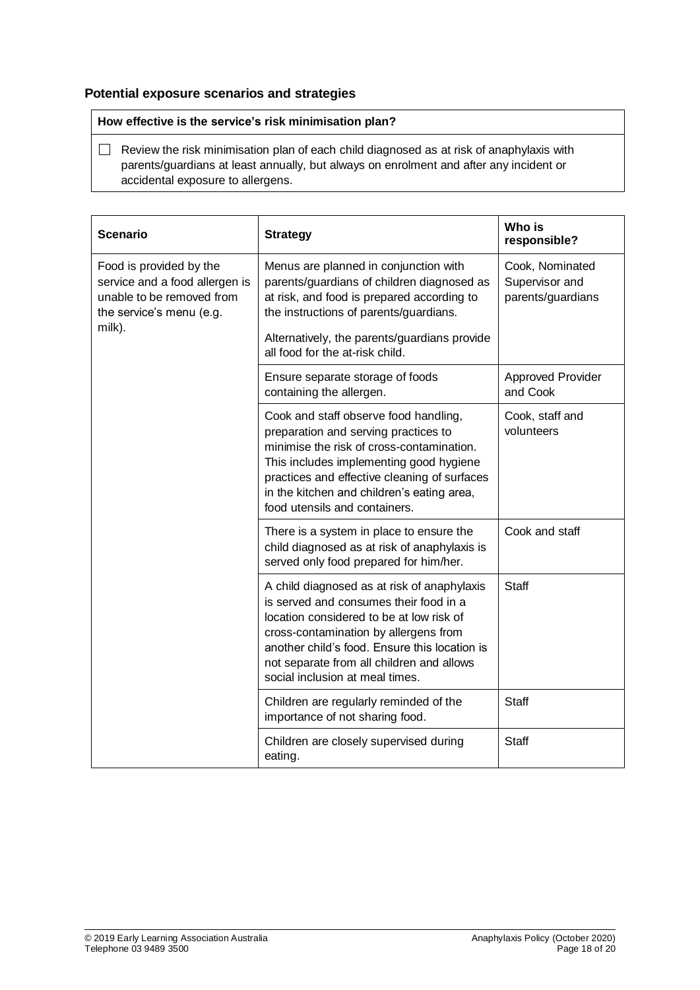### **Potential exposure scenarios and strategies**

#### **How effective is the service's risk minimisation plan?**

 $\Box$  Review the risk minimisation plan of each child diagnosed as at risk of anaphylaxis with parents/guardians at least annually, but always on enrolment and after any incident or accidental exposure to allergens.

| <b>Scenario</b>                                                                                                              | <b>Strategy</b>                                                                                                                                                                                                                                                                                             | Who is<br>responsible?                                 |
|------------------------------------------------------------------------------------------------------------------------------|-------------------------------------------------------------------------------------------------------------------------------------------------------------------------------------------------------------------------------------------------------------------------------------------------------------|--------------------------------------------------------|
| Food is provided by the<br>service and a food allergen is<br>unable to be removed from<br>the service's menu (e.g.<br>milk). | Menus are planned in conjunction with<br>parents/guardians of children diagnosed as<br>at risk, and food is prepared according to<br>the instructions of parents/guardians.<br>Alternatively, the parents/guardians provide<br>all food for the at-risk child.                                              | Cook, Nominated<br>Supervisor and<br>parents/guardians |
|                                                                                                                              | Ensure separate storage of foods<br>containing the allergen.                                                                                                                                                                                                                                                | <b>Approved Provider</b><br>and Cook                   |
|                                                                                                                              | Cook and staff observe food handling,<br>preparation and serving practices to<br>minimise the risk of cross-contamination.<br>This includes implementing good hygiene<br>practices and effective cleaning of surfaces<br>in the kitchen and children's eating area,<br>food utensils and containers.        | Cook, staff and<br>volunteers                          |
|                                                                                                                              | There is a system in place to ensure the<br>child diagnosed as at risk of anaphylaxis is<br>served only food prepared for him/her.                                                                                                                                                                          | Cook and staff                                         |
|                                                                                                                              | A child diagnosed as at risk of anaphylaxis<br>is served and consumes their food in a<br>location considered to be at low risk of<br>cross-contamination by allergens from<br>another child's food. Ensure this location is<br>not separate from all children and allows<br>social inclusion at meal times. | <b>Staff</b>                                           |
|                                                                                                                              | Children are regularly reminded of the<br>importance of not sharing food.                                                                                                                                                                                                                                   | Staff                                                  |
|                                                                                                                              | Children are closely supervised during<br>eating.                                                                                                                                                                                                                                                           | Staff                                                  |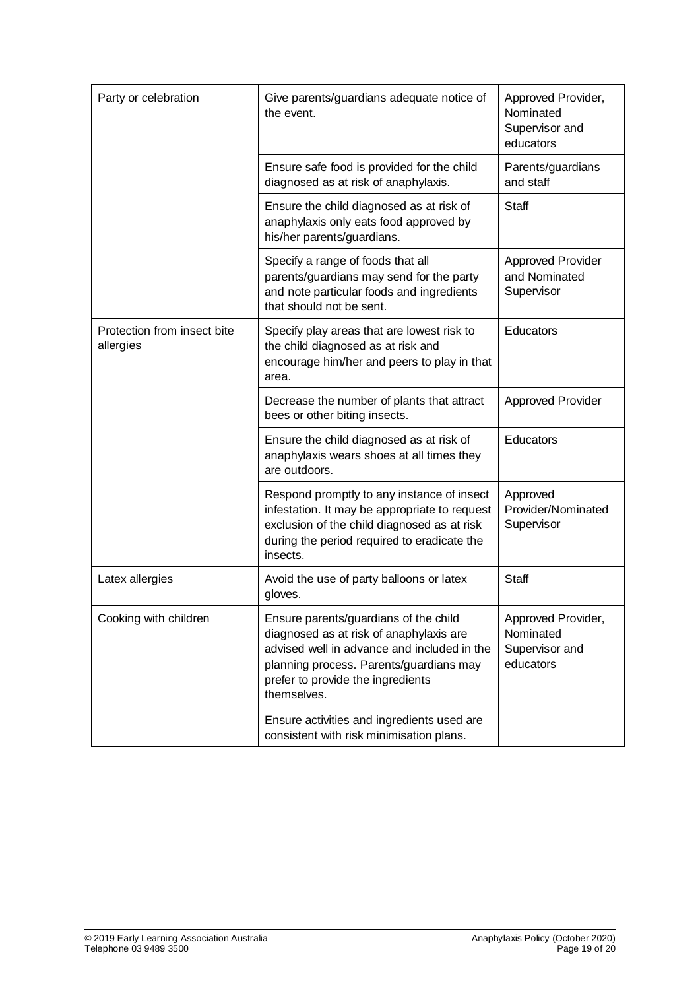| Party or celebration                     | Give parents/guardians adequate notice of<br>the event.                                                                                                                                                                                                                      | Approved Provider,<br>Nominated<br>Supervisor and<br>educators |
|------------------------------------------|------------------------------------------------------------------------------------------------------------------------------------------------------------------------------------------------------------------------------------------------------------------------------|----------------------------------------------------------------|
|                                          | Ensure safe food is provided for the child<br>diagnosed as at risk of anaphylaxis.                                                                                                                                                                                           | Parents/guardians<br>and staff                                 |
|                                          | Ensure the child diagnosed as at risk of<br>anaphylaxis only eats food approved by<br>his/her parents/guardians.                                                                                                                                                             | Staff                                                          |
|                                          | Specify a range of foods that all<br>parents/guardians may send for the party<br>and note particular foods and ingredients<br>that should not be sent.                                                                                                                       | <b>Approved Provider</b><br>and Nominated<br>Supervisor        |
| Protection from insect bite<br>allergies | Specify play areas that are lowest risk to<br>the child diagnosed as at risk and<br>encourage him/her and peers to play in that<br>area.                                                                                                                                     | Educators                                                      |
|                                          | Decrease the number of plants that attract<br>bees or other biting insects.                                                                                                                                                                                                  | <b>Approved Provider</b>                                       |
|                                          | Ensure the child diagnosed as at risk of<br>anaphylaxis wears shoes at all times they<br>are outdoors.                                                                                                                                                                       | Educators                                                      |
|                                          | Respond promptly to any instance of insect<br>infestation. It may be appropriate to request<br>exclusion of the child diagnosed as at risk<br>during the period required to eradicate the<br>insects.                                                                        | Approved<br>Provider/Nominated<br>Supervisor                   |
| Latex allergies                          | Avoid the use of party balloons or latex<br>gloves.                                                                                                                                                                                                                          | Staff                                                          |
| Cooking with children                    | Ensure parents/guardians of the child<br>diagnosed as at risk of anaphylaxis are<br>advised well in advance and included in the<br>planning process. Parents/guardians may<br>prefer to provide the ingredients<br>themselves.<br>Ensure activities and ingredients used are | Approved Provider,<br>Nominated<br>Supervisor and<br>educators |
|                                          | consistent with risk minimisation plans.                                                                                                                                                                                                                                     |                                                                |